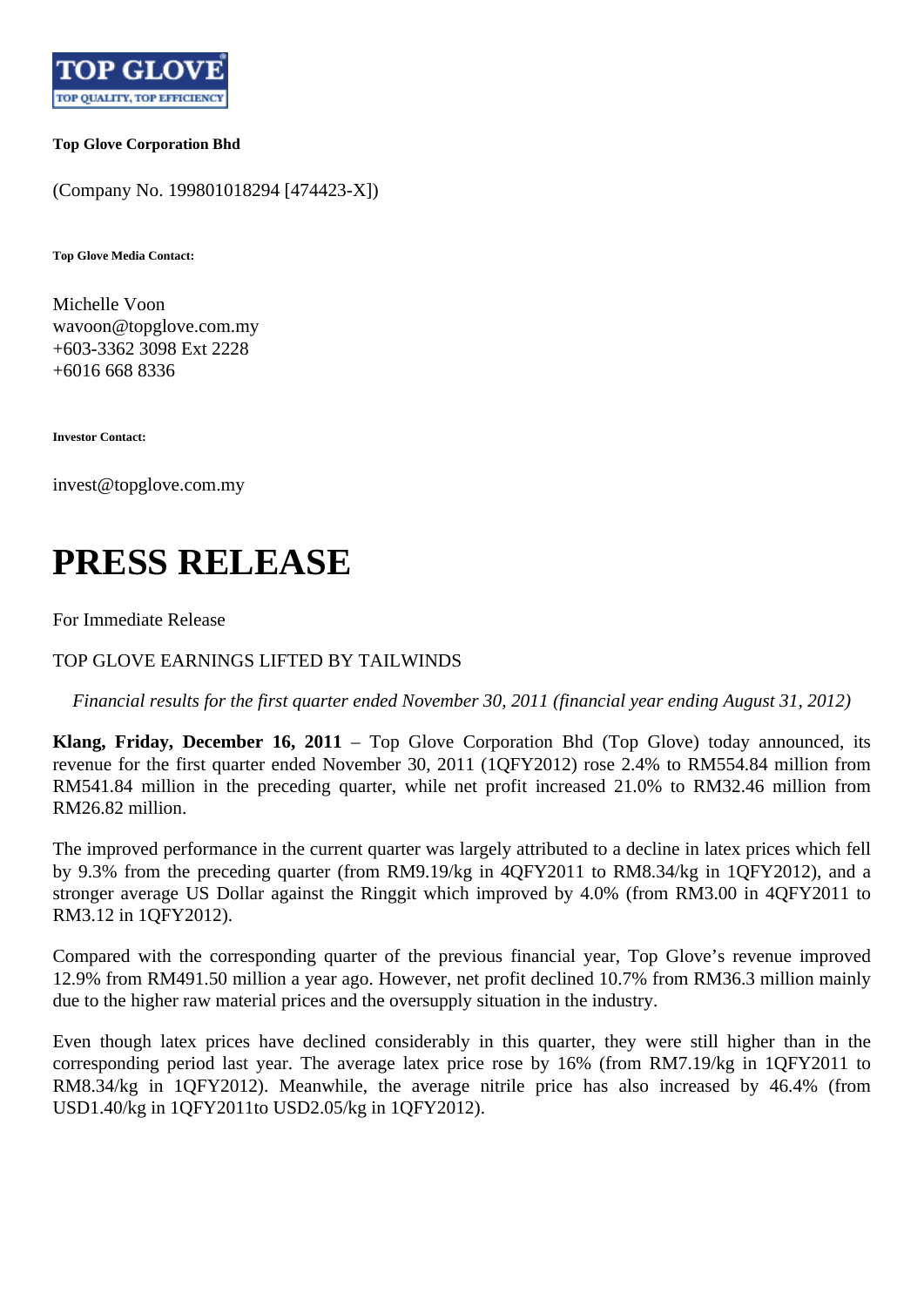

## **Top Glove Corporation Bhd**

(Company No. 199801018294 [474423-X])

**Top Glove Media Contact:**

Michelle Voon wavoon@topglove.com.my +603-3362 3098 Ext 2228 +6016 668 8336

**Investor Contact:**

invest@topglove.com.my

## **PRESS RELEASE**

For Immediate Release

TOP GLOVE EARNINGS LIFTED BY TAILWINDS

*Financial results for the first quarter ended November 30, 2011 (financial year ending August 31, 2012)*

**Klang, Friday, December 16, 2011** – Top Glove Corporation Bhd (Top Glove) today announced, its revenue for the first quarter ended November 30, 2011 (1QFY2012) rose 2.4% to RM554.84 million from RM541.84 million in the preceding quarter, while net profit increased 21.0% to RM32.46 million from RM26.82 million.

The improved performance in the current quarter was largely attributed to a decline in latex prices which fell by 9.3% from the preceding quarter (from RM9.19/kg in 4QFY2011 to RM8.34/kg in 1QFY2012), and a stronger average US Dollar against the Ringgit which improved by 4.0% (from RM3.00 in 4QFY2011 to RM3.12 in 1QFY2012).

Compared with the corresponding quarter of the previous financial year, Top Glove's revenue improved 12.9% from RM491.50 million a year ago. However, net profit declined 10.7% from RM36.3 million mainly due to the higher raw material prices and the oversupply situation in the industry.

Even though latex prices have declined considerably in this quarter, they were still higher than in the corresponding period last year. The average latex price rose by 16% (from RM7.19/kg in 1QFY2011 to RM8.34/kg in 1QFY2012). Meanwhile, the average nitrile price has also increased by 46.4% (from USD1.40/kg in 1QFY2011to USD2.05/kg in 1QFY2012).